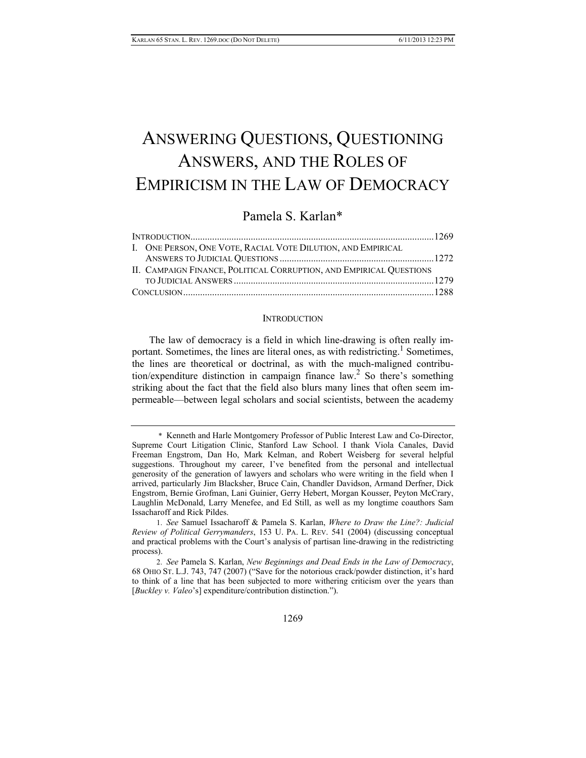# ANSWERING QUESTIONS, QUESTIONING ANSWERS, AND THE ROLES OF EMPIRICISM IN THE LAW OF DEMOCRACY

## Pamela S. Karlan\*

| I. ONE PERSON, ONE VOTE, RACIAL VOTE DILUTION, AND EMPIRICAL        |  |
|---------------------------------------------------------------------|--|
|                                                                     |  |
| II. CAMPAIGN FINANCE, POLITICAL CORRUPTION, AND EMPIRICAL QUESTIONS |  |
|                                                                     |  |
|                                                                     |  |
|                                                                     |  |

### **INTRODUCTION**

The law of democracy is a field in which line-drawing is often really important. Sometimes, the lines are literal ones, as with redistricting.<sup>1</sup> Sometimes, the lines are theoretical or doctrinal, as with the much-maligned contribution/expenditure distinction in campaign finance  $law<sup>2</sup>$ . So there's something striking about the fact that the field also blurs many lines that often seem impermeable—between legal scholars and social scientists, between the academy

 <sup>\*</sup> Kenneth and Harle Montgomery Professor of Public Interest Law and Co-Director, Supreme Court Litigation Clinic, Stanford Law School. I thank Viola Canales, David Freeman Engstrom, Dan Ho, Mark Kelman, and Robert Weisberg for several helpful suggestions. Throughout my career, I've benefited from the personal and intellectual generosity of the generation of lawyers and scholars who were writing in the field when I arrived, particularly Jim Blacksher, Bruce Cain, Chandler Davidson, Armand Derfner, Dick Engstrom, Bernie Grofman, Lani Guinier, Gerry Hebert, Morgan Kousser, Peyton McCrary, Laughlin McDonald, Larry Menefee, and Ed Still, as well as my longtime coauthors Sam Issacharoff and Rick Pildes.

 <sup>1.</sup> *See* Samuel Issacharoff & Pamela S. Karlan, *Where to Draw the Line?: Judicial Review of Political Gerrymanders*, 153 U. PA. L. REV. 541 (2004) (discussing conceptual and practical problems with the Court's analysis of partisan line-drawing in the redistricting process).

 <sup>2.</sup> *See* Pamela S. Karlan, *New Beginnings and Dead Ends in the Law of Democracy*, 68 OHIO ST. L.J. 743, 747 (2007) ("Save for the notorious crack/powder distinction, it's hard to think of a line that has been subjected to more withering criticism over the years than [*Buckley v. Valeo*'s] expenditure/contribution distinction.").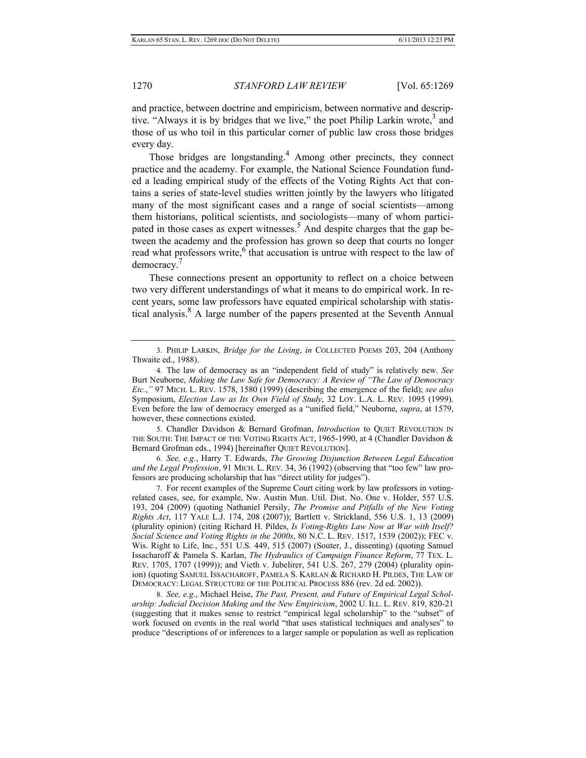and practice, between doctrine and empiricism, between normative and descriptive. "Always it is by bridges that we live," the poet Philip Larkin wrote,<sup>3</sup> and those of us who toil in this particular corner of public law cross those bridges every day.

Those bridges are longstanding.<sup>4</sup> Among other precincts, they connect practice and the academy. For example, the National Science Foundation funded a leading empirical study of the effects of the Voting Rights Act that contains a series of state-level studies written jointly by the lawyers who litigated many of the most significant cases and a range of social scientists—among them historians, political scientists, and sociologists—many of whom participated in those cases as expert witnesses.<sup>5</sup> And despite charges that the gap between the academy and the profession has grown so deep that courts no longer read what professors write,  $6$  that accusation is untrue with respect to the law of democracy.<sup>7</sup>

These connections present an opportunity to reflect on a choice between two very different understandings of what it means to do empirical work. In recent years, some law professors have equated empirical scholarship with statistical analysis.8 A large number of the papers presented at the Seventh Annual

 5. Chandler Davidson & Bernard Grofman, *Introduction* to QUIET REVOLUTION IN THE SOUTH: THE IMPACT OF THE VOTING RIGHTS ACT, 1965-1990, at 4 (Chandler Davidson & Bernard Grofman eds., 1994) [hereinafter QUIET REVOLUTION].

 6. *See, e.g.*, Harry T. Edwards, *The Growing Disjunction Between Legal Education and the Legal Profession*, 91 MICH. L. REV. 34, 36 (1992) (observing that "too few" law professors are producing scholarship that has "direct utility for judges").

 7. For recent examples of the Supreme Court citing work by law professors in votingrelated cases, see, for example, Nw. Austin Mun. Util. Dist. No. One v. Holder, 557 U.S. 193, 204 (2009) (quoting Nathaniel Persily, *The Promise and Pitfalls of the New Voting Rights Act*, 117 YALE L.J. 174, 208 (2007)); Bartlett v. Strickland, 556 U.S. 1, 13 (2009) (plurality opinion) (citing Richard H. Pildes, *Is Voting-Rights Law Now at War with Itself? Social Science and Voting Rights in the 2000s*, 80 N.C. L. REV. 1517, 1539 (2002)); FEC v. Wis. Right to Life, Inc., 551 U.S. 449, 515 (2007) (Souter, J., dissenting) (quoting Samuel Issacharoff & Pamela S. Karlan, *The Hydraulics of Campaign Finance Reform*, 77 TEX. L. REV. 1705, 1707 (1999)); and Vieth v. Jubelirer, 541 U.S. 267, 279 (2004) (plurality opinion) (quoting SAMUEL ISSACHAROFF, PAMELA S. KARLAN & RICHARD H. PILDES, THE LAW OF DEMOCRACY: LEGAL STRUCTURE OF THE POLITICAL PROCESS 886 (rev. 2d ed. 2002)).

 8. *See, e.g.*, Michael Heise, *The Past, Present, and Future of Empirical Legal Scholarship: Judicial Decision Making and the New Empiricism*, 2002 U. ILL. L. REV. 819, 820-21 (suggesting that it makes sense to restrict "empirical legal scholarship" to the "subset" of work focused on events in the real world "that uses statistical techniques and analyses" to produce "descriptions of or inferences to a larger sample or population as well as replication

 <sup>3.</sup> PHILIP LARKIN, *Bridge for the Living*, *in* COLLECTED POEMS 203, 204 (Anthony Thwaite ed., 1988).

 <sup>4.</sup> The law of democracy as an "independent field of study" is relatively new. *See*  Burt Neuborne, *Making the Law Safe for Democracy: A Review of "The Law of Democracy Etc.*,*"* 97 MICH. L. REV. 1578, 1580 (1999) (describing the emergence of the field); *see also*  Symposium, *Election Law as Its Own Field of Study*, 32 LOY. L.A. L. REV. 1095 (1999). Even before the law of democracy emerged as a "unified field," Neuborne, *supra*, at 1579, however, these connections existed.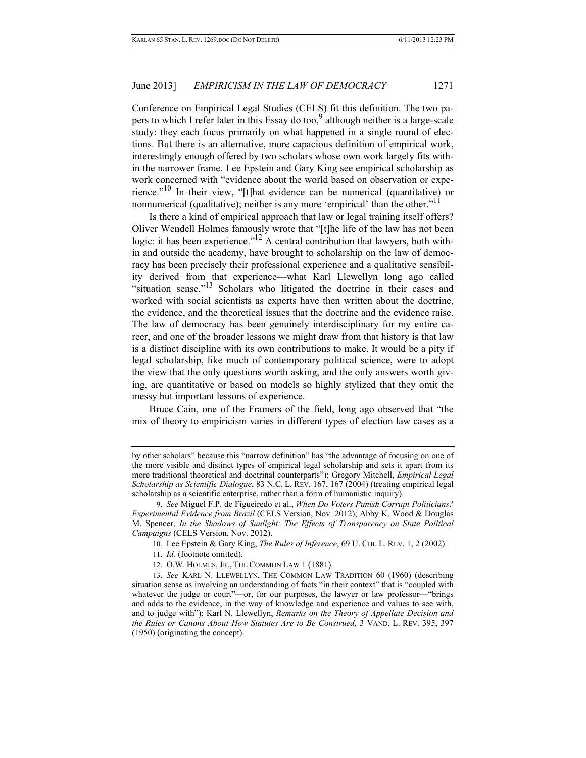Conference on Empirical Legal Studies (CELS) fit this definition. The two papers to which I refer later in this Essay do too,  $9^9$  although neither is a large-scale study: they each focus primarily on what happened in a single round of elections. But there is an alternative, more capacious definition of empirical work, interestingly enough offered by two scholars whose own work largely fits within the narrower frame. Lee Epstein and Gary King see empirical scholarship as work concerned with "evidence about the world based on observation or experience."10 In their view, "[t]hat evidence can be numerical (quantitative) or nonnumerical (qualitative); neither is any more 'empirical' than the other."<sup>11</sup>

Is there a kind of empirical approach that law or legal training itself offers? Oliver Wendell Holmes famously wrote that "[t]he life of the law has not been logic: it has been experience."<sup>12</sup> A central contribution that lawyers, both within and outside the academy, have brought to scholarship on the law of democracy has been precisely their professional experience and a qualitative sensibility derived from that experience—what Karl Llewellyn long ago called "situation sense."<sup>13</sup> Scholars who litigated the doctrine in their cases and worked with social scientists as experts have then written about the doctrine, the evidence, and the theoretical issues that the doctrine and the evidence raise. The law of democracy has been genuinely interdisciplinary for my entire career, and one of the broader lessons we might draw from that history is that law is a distinct discipline with its own contributions to make. It would be a pity if legal scholarship, like much of contemporary political science, were to adopt the view that the only questions worth asking, and the only answers worth giving, are quantitative or based on models so highly stylized that they omit the messy but important lessons of experience.

Bruce Cain, one of the Framers of the field, long ago observed that "the mix of theory to empiricism varies in different types of election law cases as a

- 11. *Id.* (footnote omitted).
- 12. O.W. HOLMES, JR., THE COMMON LAW 1 (1881).

by other scholars" because this "narrow definition" has "the advantage of focusing on one of the more visible and distinct types of empirical legal scholarship and sets it apart from its more traditional theoretical and doctrinal counterparts"); Gregory Mitchell, *Empirical Legal Scholarship as Scientific Dialogue*, 83 N.C. L. REV. 167, 167 (2004) (treating empirical legal scholarship as a scientific enterprise, rather than a form of humanistic inquiry).

 <sup>9.</sup> *See* Miguel F.P. de Figueiredo et al., *When Do Voters Punish Corrupt Politicians? Experimental Evidence from Brazil* (CELS Version, Nov. 2012); Abby K. Wood & Douglas M. Spencer, *In the Shadows of Sunlight: The Effects of Transparency on State Political Campaigns* (CELS Version, Nov. 2012).

 <sup>10.</sup> Lee Epstein & Gary King, *The Rules of Inference*, 69 U. CHI. L. REV. 1, 2 (2002).

 <sup>13.</sup> *See* KARL N. LLEWELLYN, THE COMMON LAW TRADITION 60 (1960) (describing situation sense as involving an understanding of facts "in their context" that is "coupled with whatever the judge or court"—or, for our purposes, the lawyer or law professor—"brings" and adds to the evidence, in the way of knowledge and experience and values to see with, and to judge with"); Karl N. Llewellyn, *Remarks on the Theory of Appellate Decision and the Rules or Canons About How Statutes Are to Be Construed*, 3 VAND. L. REV. 395, 397 (1950) (originating the concept).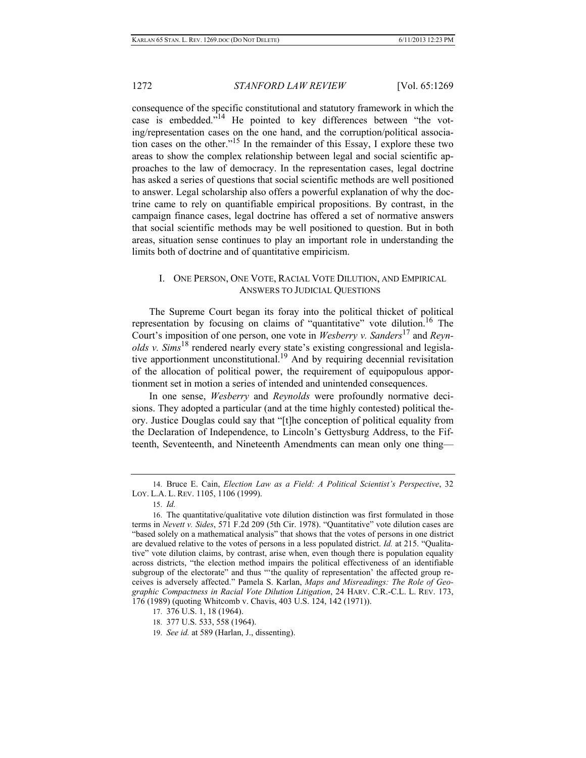consequence of the specific constitutional and statutory framework in which the case is embedded."14 He pointed to key differences between "the voting/representation cases on the one hand, and the corruption/political association cases on the other."15 In the remainder of this Essay, I explore these two areas to show the complex relationship between legal and social scientific approaches to the law of democracy. In the representation cases, legal doctrine has asked a series of questions that social scientific methods are well positioned to answer. Legal scholarship also offers a powerful explanation of why the doctrine came to rely on quantifiable empirical propositions. By contrast, in the campaign finance cases, legal doctrine has offered a set of normative answers that social scientific methods may be well positioned to question. But in both areas, situation sense continues to play an important role in understanding the limits both of doctrine and of quantitative empiricism.

### I. ONE PERSON, ONE VOTE, RACIAL VOTE DILUTION, AND EMPIRICAL ANSWERS TO JUDICIAL QUESTIONS

The Supreme Court began its foray into the political thicket of political representation by focusing on claims of "quantitative" vote dilution.<sup>16</sup> The Court's imposition of one person, one vote in *Wesberry v. Sanders*<sup>17</sup> and *Reynolds v. Sims*<sup>18</sup> rendered nearly every state's existing congressional and legislative apportionment unconstitutional.<sup>19</sup> And by requiring decennial revisitation of the allocation of political power, the requirement of equipopulous apportionment set in motion a series of intended and unintended consequences.

In one sense, *Wesberry* and *Reynolds* were profoundly normative decisions. They adopted a particular (and at the time highly contested) political theory. Justice Douglas could say that "[t]he conception of political equality from the Declaration of Independence, to Lincoln's Gettysburg Address, to the Fifteenth, Seventeenth, and Nineteenth Amendments can mean only one thing—

 <sup>14.</sup> Bruce E. Cain, *Election Law as a Field: A Political Scientist's Perspective*, 32 LOY. L.A. L. REV. 1105, 1106 (1999).

 <sup>15.</sup> *Id.*

 <sup>16.</sup> The quantitative/qualitative vote dilution distinction was first formulated in those terms in *Nevett v. Sides*, 571 F.2d 209 (5th Cir. 1978). "Quantitative" vote dilution cases are "based solely on a mathematical analysis" that shows that the votes of persons in one district are devalued relative to the votes of persons in a less populated district. *Id.* at 215. "Qualitative" vote dilution claims, by contrast, arise when, even though there is population equality across districts, "the election method impairs the political effectiveness of an identifiable subgroup of the electorate" and thus "'the quality of representation' the affected group receives is adversely affected." Pamela S. Karlan, *Maps and Misreadings: The Role of Geographic Compactness in Racial Vote Dilution Litigation*, 24 HARV. C.R.-C.L. L. REV. 173, 176 (1989) (quoting Whitcomb v. Chavis, 403 U.S. 124, 142 (1971)).

 <sup>17. 376</sup> U.S. 1, 18 (1964).

 <sup>18. 377</sup> U.S. 533, 558 (1964).

 <sup>19.</sup> *See id.* at 589 (Harlan, J., dissenting).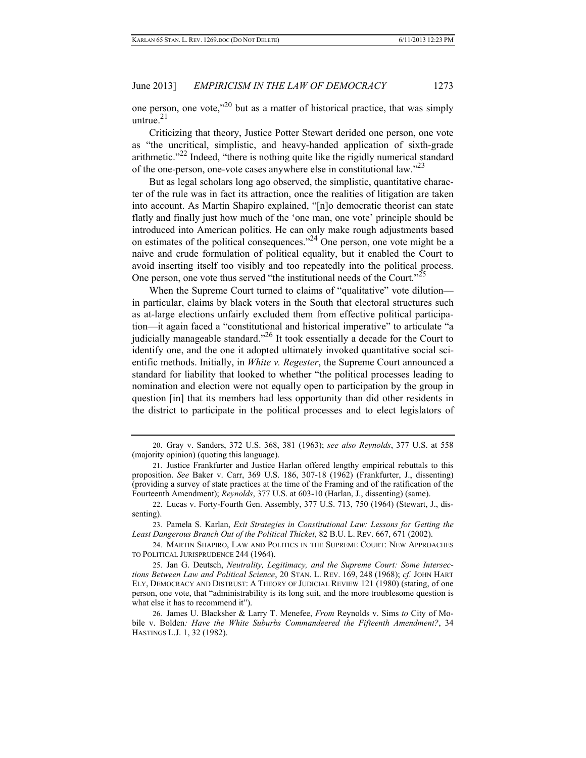one person, one vote, $^{20}$  but as a matter of historical practice, that was simply untrue $^{21}$ 

Criticizing that theory, Justice Potter Stewart derided one person, one vote as "the uncritical, simplistic, and heavy-handed application of sixth-grade arithmetic."22 Indeed, "there is nothing quite like the rigidly numerical standard of the one-person, one-vote cases anywhere else in constitutional law.<sup>223</sup>

But as legal scholars long ago observed, the simplistic, quantitative character of the rule was in fact its attraction, once the realities of litigation are taken into account. As Martin Shapiro explained, "[n]o democratic theorist can state flatly and finally just how much of the 'one man, one vote' principle should be introduced into American politics. He can only make rough adjustments based on estimates of the political consequences."24 One person, one vote might be a naive and crude formulation of political equality, but it enabled the Court to avoid inserting itself too visibly and too repeatedly into the political process. One person, one vote thus served "the institutional needs of the Court."<sup>25</sup>

When the Supreme Court turned to claims of "qualitative" vote dilution in particular, claims by black voters in the South that electoral structures such as at-large elections unfairly excluded them from effective political participation—it again faced a "constitutional and historical imperative" to articulate "a judicially manageable standard."26 It took essentially a decade for the Court to identify one, and the one it adopted ultimately invoked quantitative social scientific methods. Initially, in *White v. Regester*, the Supreme Court announced a standard for liability that looked to whether "the political processes leading to nomination and election were not equally open to participation by the group in question [in] that its members had less opportunity than did other residents in the district to participate in the political processes and to elect legislators of

 24. MARTIN SHAPIRO, LAW AND POLITICS IN THE SUPREME COURT: NEW APPROACHES TO POLITICAL JURISPRUDENCE 244 (1964).

 25. Jan G. Deutsch, *Neutrality, Legitimacy, and the Supreme Court: Some Intersections Between Law and Political Science*, 20 STAN. L. REV. 169, 248 (1968); *cf.* JOHN HART ELY, DEMOCRACY AND DISTRUST: A THEORY OF JUDICIAL REVIEW 121 (1980) (stating, of one person, one vote, that "administrability is its long suit, and the more troublesome question is what else it has to recommend it").

 26. James U. Blacksher & Larry T. Menefee, *From* Reynolds v. Sims *to* City of Mobile v. Bolden*: Have the White Suburbs Commandeered the Fifteenth Amendment?*, 34 HASTINGS L.J. 1, 32 (1982).

 <sup>20.</sup> Gray v. Sanders, 372 U.S. 368, 381 (1963); *see also Reynolds*, 377 U.S. at 558 (majority opinion) (quoting this language).

 <sup>21.</sup> Justice Frankfurter and Justice Harlan offered lengthy empirical rebuttals to this proposition. *See* Baker v. Carr, 369 U.S. 186, 307-18 (1962) (Frankfurter, J., dissenting) (providing a survey of state practices at the time of the Framing and of the ratification of the Fourteenth Amendment); *Reynolds*, 377 U.S. at 603-10 (Harlan, J., dissenting) (same).

 <sup>22.</sup> Lucas v. Forty-Fourth Gen. Assembly, 377 U.S. 713, 750 (1964) (Stewart, J., dissenting).

 <sup>23.</sup> Pamela S. Karlan, *Exit Strategies in Constitutional Law: Lessons for Getting the Least Dangerous Branch Out of the Political Thicket*, 82 B.U. L. REV. 667, 671 (2002).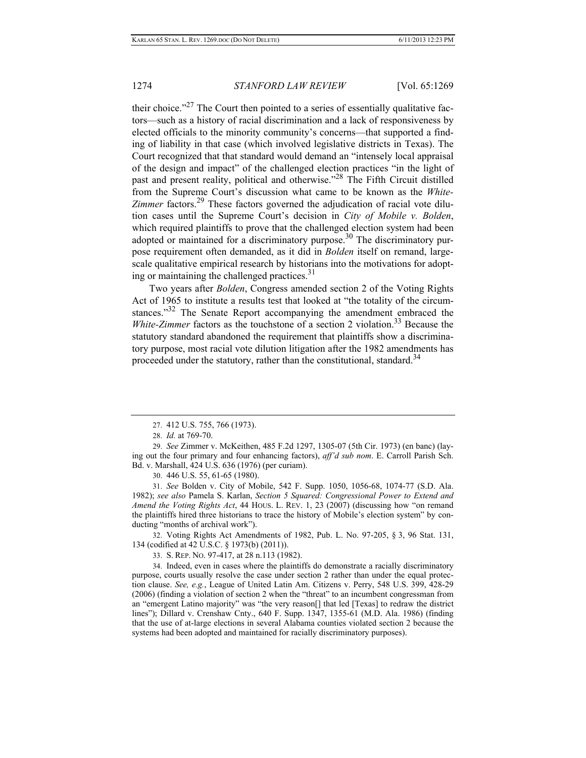their choice." $27$  The Court then pointed to a series of essentially qualitative factors—such as a history of racial discrimination and a lack of responsiveness by elected officials to the minority community's concerns—that supported a finding of liability in that case (which involved legislative districts in Texas). The Court recognized that that standard would demand an "intensely local appraisal of the design and impact" of the challenged election practices "in the light of past and present reality, political and otherwise."28 The Fifth Circuit distilled from the Supreme Court's discussion what came to be known as the *White-*Zimmer factors.<sup>29</sup> These factors governed the adjudication of racial vote dilution cases until the Supreme Court's decision in *City of Mobile v. Bolden*, which required plaintiffs to prove that the challenged election system had been adopted or maintained for a discriminatory purpose.<sup>30</sup> The discriminatory purpose requirement often demanded, as it did in *Bolden* itself on remand, largescale qualitative empirical research by historians into the motivations for adopting or maintaining the challenged practices. $31$ 

Two years after *Bolden*, Congress amended section 2 of the Voting Rights Act of 1965 to institute a results test that looked at "the totality of the circumstances.<sup>33</sup> The Senate Report accompanying the amendment embraced the *White-Zimmer* factors as the touchstone of a section 2 violation.<sup>33</sup> Because the statutory standard abandoned the requirement that plaintiffs show a discriminatory purpose, most racial vote dilution litigation after the 1982 amendments has proceeded under the statutory, rather than the constitutional, standard.<sup>34</sup>

30. 446 U.S. 55, 61-65 (1980).

 31. *See* Bolden v. City of Mobile, 542 F. Supp. 1050, 1056-68, 1074-77 (S.D. Ala. 1982); *see also* Pamela S. Karlan, *Section 5 Squared: Congressional Power to Extend and Amend the Voting Rights Act*, 44 HOUS. L. REV. 1, 23 (2007) (discussing how "on remand the plaintiffs hired three historians to trace the history of Mobile's election system" by conducting "months of archival work").

 32. Voting Rights Act Amendments of 1982, Pub. L. No. 97-205, § 3, 96 Stat. 131, 134 (codified at 42 U.S.C. § 1973(b) (2011)).

33. S. REP. NO. 97-417, at 28 n.113 (1982).

 34. Indeed, even in cases where the plaintiffs do demonstrate a racially discriminatory purpose, courts usually resolve the case under section 2 rather than under the equal protection clause. *See, e.g.*, League of United Latin Am. Citizens v. Perry, 548 U.S. 399, 428-29 (2006) (finding a violation of section 2 when the "threat" to an incumbent congressman from an "emergent Latino majority" was "the very reason[] that led [Texas] to redraw the district lines"); Dillard v. Crenshaw Cnty., 640 F. Supp. 1347, 1355-61 (M.D. Ala. 1986) (finding that the use of at-large elections in several Alabama counties violated section 2 because the systems had been adopted and maintained for racially discriminatory purposes).

 <sup>27. 412</sup> U.S. 755, 766 (1973).

 <sup>28.</sup> *Id.* at 769-70.

 <sup>29.</sup> *See* Zimmer v. McKeithen, 485 F.2d 1297, 1305-07 (5th Cir. 1973) (en banc) (laying out the four primary and four enhancing factors), *aff'd sub nom*. E. Carroll Parish Sch. Bd. v. Marshall, 424 U.S. 636 (1976) (per curiam).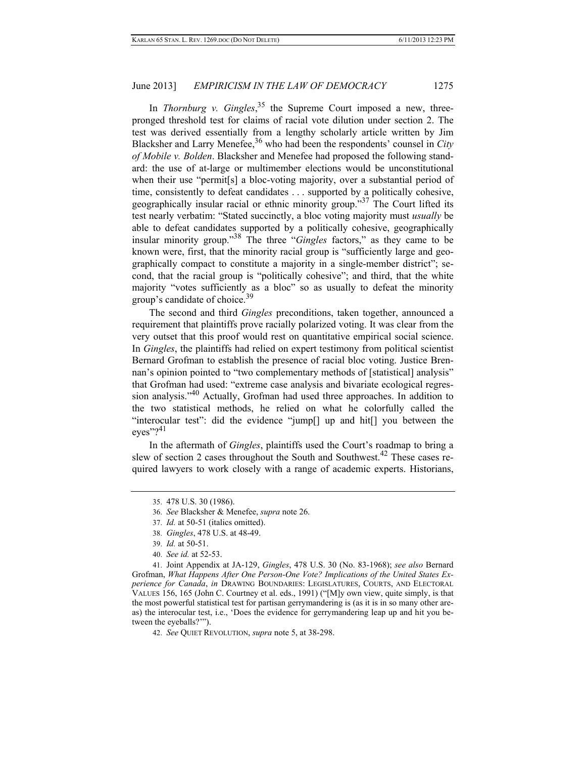In *Thornburg v. Gingles*<sup>35</sup> the Supreme Court imposed a new, threepronged threshold test for claims of racial vote dilution under section 2. The test was derived essentially from a lengthy scholarly article written by Jim Blacksher and Larry Menefee,<sup>36</sup> who had been the respondents' counsel in *City of Mobile v. Bolden*. Blacksher and Menefee had proposed the following standard: the use of at-large or multimember elections would be unconstitutional when their use "permit[s] a bloc-voting majority, over a substantial period of time, consistently to defeat candidates . . . supported by a politically cohesive, geographically insular racial or ethnic minority group.<sup>37</sup> The Court lifted its test nearly verbatim: "Stated succinctly, a bloc voting majority must *usually* be able to defeat candidates supported by a politically cohesive, geographically insular minority group."38 The three "*Gingles* factors," as they came to be known were, first, that the minority racial group is "sufficiently large and geographically compact to constitute a majority in a single-member district"; second, that the racial group is "politically cohesive"; and third, that the white majority "votes sufficiently as a bloc" so as usually to defeat the minority group's candidate of choice.<sup>39</sup>

The second and third *Gingles* preconditions, taken together, announced a requirement that plaintiffs prove racially polarized voting. It was clear from the very outset that this proof would rest on quantitative empirical social science. In *Gingles*, the plaintiffs had relied on expert testimony from political scientist Bernard Grofman to establish the presence of racial bloc voting. Justice Brennan's opinion pointed to "two complementary methods of [statistical] analysis" that Grofman had used: "extreme case analysis and bivariate ecological regression analysis."40 Actually, Grofman had used three approaches. In addition to the two statistical methods, he relied on what he colorfully called the "interocular test": did the evidence "jump[] up and hit[] you between the eyes"? $41$ 

In the aftermath of *Gingles*, plaintiffs used the Court's roadmap to bring a slew of section 2 cases throughout the South and Southwest.<sup>42</sup> These cases required lawyers to work closely with a range of academic experts. Historians,

40. *See id.* at 52-53.

 41. Joint Appendix at JA-129, *Gingles*, 478 U.S. 30 (No. 83-1968); *see also* Bernard Grofman, *What Happens After One Person-One Vote? Implications of the United States Experience for Canada*, *in* DRAWING BOUNDARIES: LEGISLATURES, COURTS, AND ELECTORAL VALUES 156, 165 (John C. Courtney et al. eds., 1991) ("[M]y own view, quite simply, is that the most powerful statistical test for partisan gerrymandering is (as it is in so many other areas) the interocular test, i.e., 'Does the evidence for gerrymandering leap up and hit you between the eyeballs?'").

42. *See* QUIET REVOLUTION, *supra* note 5, at 38-298.

 <sup>35. 478</sup> U.S. 30 (1986).

 <sup>36.</sup> *See* Blacksher & Menefee, *supra* note 26.

 <sup>37.</sup> *Id.* at 50-51 (italics omitted).

 <sup>38.</sup> *Gingles*, 478 U.S. at 48-49.

 <sup>39.</sup> *Id.* at 50-51.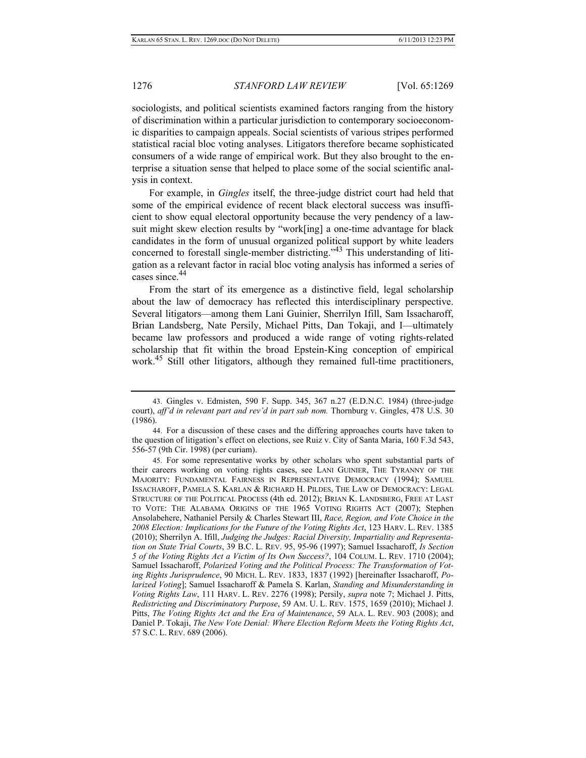sociologists, and political scientists examined factors ranging from the history of discrimination within a particular jurisdiction to contemporary socioeconomic disparities to campaign appeals. Social scientists of various stripes performed statistical racial bloc voting analyses. Litigators therefore became sophisticated consumers of a wide range of empirical work. But they also brought to the enterprise a situation sense that helped to place some of the social scientific analysis in context.

For example, in *Gingles* itself, the three-judge district court had held that some of the empirical evidence of recent black electoral success was insufficient to show equal electoral opportunity because the very pendency of a lawsuit might skew election results by "work[ing] a one-time advantage for black candidates in the form of unusual organized political support by white leaders concerned to forestall single-member districting."43 This understanding of litigation as a relevant factor in racial bloc voting analysis has informed a series of cases since <sup>44</sup>

From the start of its emergence as a distinctive field, legal scholarship about the law of democracy has reflected this interdisciplinary perspective. Several litigators—among them Lani Guinier, Sherrilyn Ifill, Sam Issacharoff, Brian Landsberg, Nate Persily, Michael Pitts, Dan Tokaji, and I—ultimately became law professors and produced a wide range of voting rights-related scholarship that fit within the broad Epstein-King conception of empirical work.<sup>45</sup> Still other litigators, although they remained full-time practitioners,

 <sup>43.</sup> Gingles v. Edmisten, 590 F. Supp. 345, 367 n.27 (E.D.N.C. 1984) (three-judge court), *aff'd in relevant part and rev'd in part sub nom.* Thornburg v. Gingles, 478 U.S. 30 (1986).

 <sup>44.</sup> For a discussion of these cases and the differing approaches courts have taken to the question of litigation's effect on elections, see Ruiz v. City of Santa Maria, 160 F.3d 543, 556-57 (9th Cir. 1998) (per curiam).

 <sup>45.</sup> For some representative works by other scholars who spent substantial parts of their careers working on voting rights cases, see LANI GUINIER, THE TYRANNY OF THE MAJORITY: FUNDAMENTAL FAIRNESS IN REPRESENTATIVE DEMOCRACY (1994); SAMUEL ISSACHAROFF, PAMELA S. KARLAN & RICHARD H. PILDES, THE LAW OF DEMOCRACY: LEGAL STRUCTURE OF THE POLITICAL PROCESS (4th ed. 2012); BRIAN K. LANDSBERG, FREE AT LAST TO VOTE: THE ALABAMA ORIGINS OF THE 1965 VOTING RIGHTS ACT (2007); Stephen Ansolabehere, Nathaniel Persily & Charles Stewart III, *Race, Region, and Vote Choice in the 2008 Election: Implications for the Future of the Voting Rights Act*, 123 HARV. L. REV. 1385 (2010); Sherrilyn A. Ifill, *Judging the Judges: Racial Diversity, Impartiality and Representation on State Trial Courts*, 39 B.C. L. REV. 95, 95-96 (1997); Samuel Issacharoff, *Is Section 5 of the Voting Rights Act a Victim of Its Own Success?*, 104 COLUM. L. REV. 1710 (2004); Samuel Issacharoff, *Polarized Voting and the Political Process: The Transformation of Voting Rights Jurisprudence*, 90 MICH. L. REV. 1833, 1837 (1992) [hereinafter Issacharoff, *Polarized Voting*]; Samuel Issacharoff & Pamela S. Karlan, *Standing and Misunderstanding in Voting Rights Law*, 111 HARV. L. REV. 2276 (1998); Persily, *supra* note 7; Michael J. Pitts, *Redistricting and Discriminatory Purpose*, 59 AM. U. L. REV. 1575, 1659 (2010); Michael J. Pitts, *The Voting Rights Act and the Era of Maintenance*, 59 ALA. L. REV. 903 (2008); and Daniel P. Tokaji, *The New Vote Denial: Where Election Reform Meets the Voting Rights Act*, 57 S.C. L. REV. 689 (2006).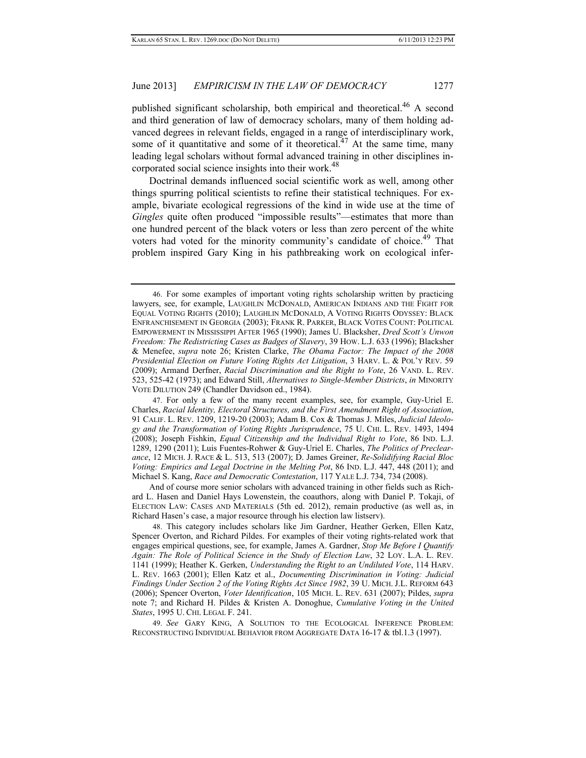published significant scholarship, both empirical and theoretical.<sup>46</sup> A second and third generation of law of democracy scholars, many of them holding advanced degrees in relevant fields, engaged in a range of interdisciplinary work, some of it quantitative and some of it theoretical.<sup>47</sup> At the same time, many leading legal scholars without formal advanced training in other disciplines incorporated social science insights into their work.<sup>48</sup>

Doctrinal demands influenced social scientific work as well, among other things spurring political scientists to refine their statistical techniques. For example, bivariate ecological regressions of the kind in wide use at the time of *Gingles* quite often produced "impossible results"—estimates that more than one hundred percent of the black voters or less than zero percent of the white voters had voted for the minority community's candidate of choice.<sup>49</sup> That problem inspired Gary King in his pathbreaking work on ecological infer-

 49. *See* GARY KING, A SOLUTION TO THE ECOLOGICAL INFERENCE PROBLEM: RECONSTRUCTING INDIVIDUAL BEHAVIOR FROM AGGREGATE DATA 16-17 & tbl.1.3 (1997).

 <sup>46.</sup> For some examples of important voting rights scholarship written by practicing lawyers, see, for example, LAUGHLIN MCDONALD, AMERICAN INDIANS AND THE FIGHT FOR EQUAL VOTING RIGHTS (2010); LAUGHLIN MCDONALD, A VOTING RIGHTS ODYSSEY: BLACK ENFRANCHISEMENT IN GEORGIA (2003); FRANK R. PARKER, BLACK VOTES COUNT: POLITICAL EMPOWERMENT IN MISSISSIPPI AFTER 1965 (1990); James U. Blacksher, *Dred Scott's Unwon Freedom: The Redistricting Cases as Badges of Slavery*, 39 HOW. L.J. 633 (1996); Blacksher & Menefee, *supra* note 26; Kristen Clarke, *The Obama Factor: The Impact of the 2008 Presidential Election on Future Voting Rights Act Litigation*, 3 HARV. L. & POL'Y REV. 59 (2009); Armand Derfner, *Racial Discrimination and the Right to Vote*, 26 VAND. L. REV. 523, 525-42 (1973); and Edward Still, *Alternatives to Single-Member Districts*, *in* MINORITY VOTE DILUTION 249 (Chandler Davidson ed., 1984).

 <sup>47.</sup> For only a few of the many recent examples, see, for example, Guy-Uriel E. Charles, *Racial Identity, Electoral Structures, and the First Amendment Right of Association*, 91 CALIF. L. REV. 1209, 1219-20 (2003); Adam B. Cox & Thomas J. Miles, *Judicial Ideology and the Transformation of Voting Rights Jurisprudence*, 75 U. CHI. L. REV. 1493, 1494 (2008); Joseph Fishkin, *Equal Citizenship and the Individual Right to Vote*, 86 IND. L.J. 1289, 1290 (2011); Luis Fuentes-Rohwer & Guy-Uriel E. Charles, *The Politics of Preclearance*, 12 MICH. J. RACE & L. 513, 513 (2007); D. James Greiner, *Re-Solidifying Racial Bloc Voting: Empirics and Legal Doctrine in the Melting Pot*, 86 IND. L.J. 447, 448 (2011); and Michael S. Kang, *Race and Democratic Contestation*, 117 YALE L.J. 734, 734 (2008).

And of course more senior scholars with advanced training in other fields such as Richard L. Hasen and Daniel Hays Lowenstein, the coauthors, along with Daniel P. Tokaji, of ELECTION LAW: CASES AND MATERIALS (5th ed. 2012), remain productive (as well as, in Richard Hasen's case, a major resource through his election law listserv).

 <sup>48.</sup> This category includes scholars like Jim Gardner, Heather Gerken, Ellen Katz, Spencer Overton, and Richard Pildes. For examples of their voting rights-related work that engages empirical questions, see, for example, James A. Gardner, *Stop Me Before I Quantify Again: The Role of Political Science in the Study of Election Law*, 32 LOY. L.A. L. REV. 1141 (1999); Heather K. Gerken, *Understanding the Right to an Undiluted Vote*, 114 HARV. L. REV. 1663 (2001); Ellen Katz et al., *Documenting Discrimination in Voting: Judicial Findings Under Section 2 of the Voting Rights Act Since 1982*, 39 U. MICH. J.L. REFORM 643 (2006); Spencer Overton, *Voter Identification*, 105 MICH. L. REV. 631 (2007); Pildes, *supra* note 7; and Richard H. Pildes & Kristen A. Donoghue, *Cumulative Voting in the United States*, 1995 U. CHI. LEGAL F. 241.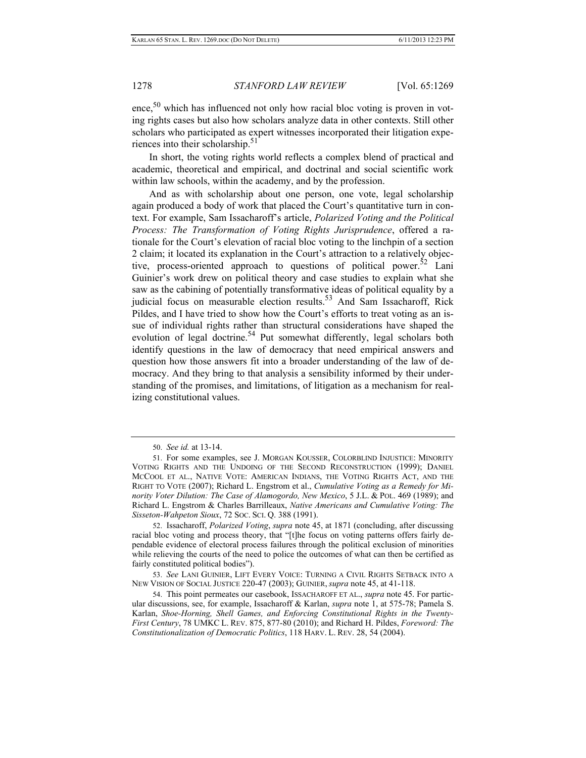ence.<sup>50</sup> which has influenced not only how racial bloc voting is proven in voting rights cases but also how scholars analyze data in other contexts. Still other scholars who participated as expert witnesses incorporated their litigation experiences into their scholarship.<sup>51</sup>

In short, the voting rights world reflects a complex blend of practical and academic, theoretical and empirical, and doctrinal and social scientific work within law schools, within the academy, and by the profession.

And as with scholarship about one person, one vote, legal scholarship again produced a body of work that placed the Court's quantitative turn in context. For example, Sam Issacharoff's article, *Polarized Voting and the Political Process: The Transformation of Voting Rights Jurisprudence*, offered a rationale for the Court's elevation of racial bloc voting to the linchpin of a section 2 claim; it located its explanation in the Court's attraction to a relatively objective, process-oriented approach to questions of political power.<sup>52</sup> Lani Guinier's work drew on political theory and case studies to explain what she saw as the cabining of potentially transformative ideas of political equality by a judicial focus on measurable election results.<sup>53</sup> And Sam Issacharoff, Rick Pildes, and I have tried to show how the Court's efforts to treat voting as an issue of individual rights rather than structural considerations have shaped the evolution of legal doctrine.<sup>54</sup> Put somewhat differently, legal scholars both identify questions in the law of democracy that need empirical answers and question how those answers fit into a broader understanding of the law of democracy. And they bring to that analysis a sensibility informed by their understanding of the promises, and limitations, of litigation as a mechanism for realizing constitutional values.

 52. Issacharoff, *Polarized Voting*, *supra* note 45, at 1871 (concluding, after discussing racial bloc voting and process theory, that "[t]he focus on voting patterns offers fairly dependable evidence of electoral process failures through the political exclusion of minorities while relieving the courts of the need to police the outcomes of what can then be certified as fairly constituted political bodies").

 53. *See* LANI GUINIER, LIFT EVERY VOICE: TURNING A CIVIL RIGHTS SETBACK INTO A NEW VISION OF SOCIAL JUSTICE 220-47 (2003); GUINIER, *supra* note 45, at 41-118.

 <sup>50.</sup> *See id.* at 13-14.

 <sup>51.</sup> For some examples, see J. MORGAN KOUSSER, COLORBLIND INJUSTICE: MINORITY VOTING RIGHTS AND THE UNDOING OF THE SECOND RECONSTRUCTION (1999); DANIEL MCCOOL ET AL., NATIVE VOTE: AMERICAN INDIANS, THE VOTING RIGHTS ACT, AND THE RIGHT TO VOTE (2007); Richard L. Engstrom et al., *Cumulative Voting as a Remedy for Minority Voter Dilution: The Case of Alamogordo, New Mexico*, 5 J.L. & POL. 469 (1989); and Richard L. Engstrom & Charles Barrilleaux, *Native Americans and Cumulative Voting: The Sisseton-Wahpeton Sioux*, 72 SOC. SCI. Q. 388 (1991).

 <sup>54.</sup> This point permeates our casebook, ISSACHAROFF ET AL., *supra* note 45. For particular discussions, see, for example, Issacharoff & Karlan, *supra* note 1, at 575-78; Pamela S. Karlan, *Shoe-Horning, Shell Games, and Enforcing Constitutional Rights in the Twenty-First Century*, 78 UMKC L. REV. 875, 877-80 (2010); and Richard H. Pildes, *Foreword: The Constitutionalization of Democratic Politics*, 118 HARV. L. REV. 28, 54 (2004).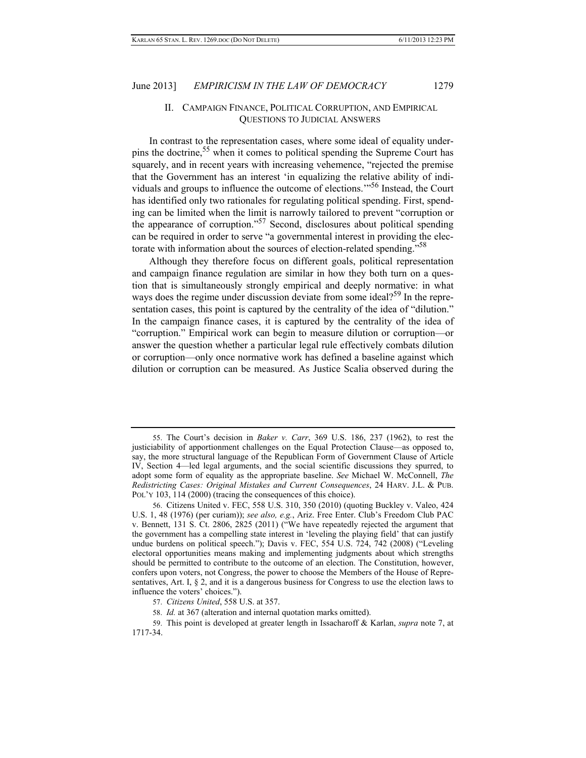### II. CAMPAIGN FINANCE, POLITICAL CORRUPTION, AND EMPIRICAL QUESTIONS TO JUDICIAL ANSWERS

In contrast to the representation cases, where some ideal of equality underpins the doctrine,<sup>55</sup> when it comes to political spending the Supreme Court has squarely, and in recent years with increasing vehemence, "rejected the premise that the Government has an interest 'in equalizing the relative ability of individuals and groups to influence the outcome of elections.'"56 Instead, the Court has identified only two rationales for regulating political spending. First, spending can be limited when the limit is narrowly tailored to prevent "corruption or the appearance of corruption."57 Second, disclosures about political spending can be required in order to serve "a governmental interest in providing the electorate with information about the sources of election-related spending."58

Although they therefore focus on different goals, political representation and campaign finance regulation are similar in how they both turn on a question that is simultaneously strongly empirical and deeply normative: in what ways does the regime under discussion deviate from some ideal?<sup>59</sup> In the representation cases, this point is captured by the centrality of the idea of "dilution." In the campaign finance cases, it is captured by the centrality of the idea of "corruption." Empirical work can begin to measure dilution or corruption—or answer the question whether a particular legal rule effectively combats dilution or corruption—only once normative work has defined a baseline against which dilution or corruption can be measured. As Justice Scalia observed during the

58. *Id.* at 367 (alteration and internal quotation marks omitted).

 <sup>55.</sup> The Court's decision in *Baker v. Carr*, 369 U.S. 186, 237 (1962), to rest the justiciability of apportionment challenges on the Equal Protection Clause—as opposed to, say, the more structural language of the Republican Form of Government Clause of Article IV, Section 4—led legal arguments, and the social scientific discussions they spurred, to adopt some form of equality as the appropriate baseline. *See* Michael W. McConnell, *The Redistricting Cases: Original Mistakes and Current Consequences*, 24 HARV. J.L. & PUB. POL'Y 103, 114 (2000) (tracing the consequences of this choice).

 <sup>56.</sup> Citizens United v. FEC, 558 U.S. 310, 350 (2010) (quoting Buckley v. Valeo, 424 U.S. 1, 48 (1976) (per curiam)); *see also, e.g.*, Ariz. Free Enter. Club's Freedom Club PAC v. Bennett, 131 S. Ct. 2806, 2825 (2011) ("We have repeatedly rejected the argument that the government has a compelling state interest in 'leveling the playing field' that can justify undue burdens on political speech."); Davis v. FEC, 554 U.S. 724, 742 (2008) ("Leveling electoral opportunities means making and implementing judgments about which strengths should be permitted to contribute to the outcome of an election. The Constitution, however, confers upon voters, not Congress, the power to choose the Members of the House of Representatives, Art. I, § 2, and it is a dangerous business for Congress to use the election laws to influence the voters' choices.").

 <sup>57.</sup> *Citizens United*, 558 U.S. at 357.

 <sup>59.</sup> This point is developed at greater length in Issacharoff & Karlan, *supra* note 7, at 1717-34.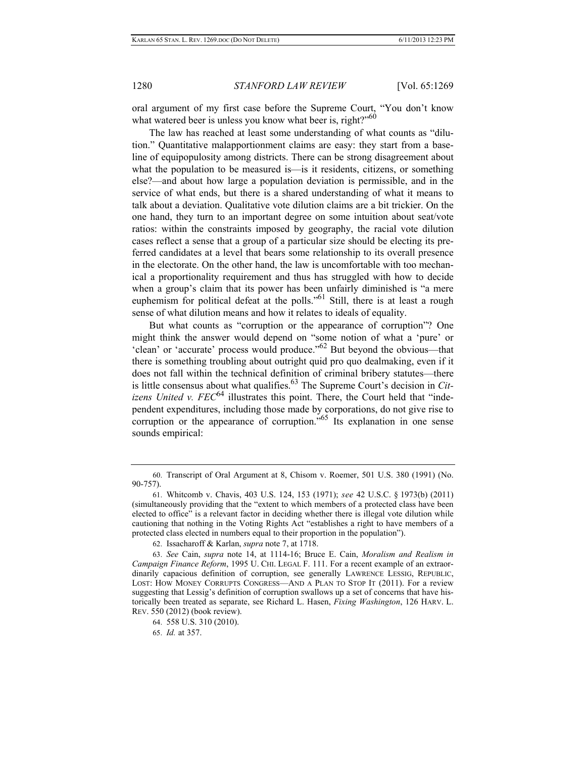oral argument of my first case before the Supreme Court, "You don't know what watered beer is unless you know what beer is, right?"<sup>60</sup>

The law has reached at least some understanding of what counts as "dilution." Quantitative malapportionment claims are easy: they start from a baseline of equipopulosity among districts. There can be strong disagreement about what the population to be measured is—is it residents, citizens, or something else?—and about how large a population deviation is permissible, and in the service of what ends, but there is a shared understanding of what it means to talk about a deviation. Qualitative vote dilution claims are a bit trickier. On the one hand, they turn to an important degree on some intuition about seat/vote ratios: within the constraints imposed by geography, the racial vote dilution cases reflect a sense that a group of a particular size should be electing its preferred candidates at a level that bears some relationship to its overall presence in the electorate. On the other hand, the law is uncomfortable with too mechanical a proportionality requirement and thus has struggled with how to decide when a group's claim that its power has been unfairly diminished is "a mere euphemism for political defeat at the polls."<sup>61</sup> Still, there is at least a rough sense of what dilution means and how it relates to ideals of equality.

But what counts as "corruption or the appearance of corruption"? One might think the answer would depend on "some notion of what a 'pure' or 'clean' or 'accurate' process would produce."62 But beyond the obvious—that there is something troubling about outright quid pro quo dealmaking, even if it does not fall within the technical definition of criminal bribery statutes—there is little consensus about what qualifies.<sup>63</sup> The Supreme Court's decision in *Citizens United v. FEC*<sup>64</sup> illustrates this point. There, the Court held that "independent expenditures, including those made by corporations, do not give rise to corruption or the appearance of corruption.<sup>"65</sup> Its explanation in one sense sounds empirical:

 <sup>60.</sup> Transcript of Oral Argument at 8, Chisom v. Roemer, 501 U.S. 380 (1991) (No. 90-757).

 <sup>61.</sup> Whitcomb v. Chavis, 403 U.S. 124, 153 (1971); *see* 42 U.S.C. § 1973(b) (2011) (simultaneously providing that the "extent to which members of a protected class have been elected to office" is a relevant factor in deciding whether there is illegal vote dilution while cautioning that nothing in the Voting Rights Act "establishes a right to have members of a protected class elected in numbers equal to their proportion in the population").

 <sup>62.</sup> Issacharoff & Karlan, *supra* note 7, at 1718.

 <sup>63.</sup> *See* Cain, *supra* note 14, at 1114-16; Bruce E. Cain, *Moralism and Realism in Campaign Finance Reform*, 1995 U. CHI. LEGAL F. 111. For a recent example of an extraordinarily capacious definition of corruption, see generally LAWRENCE LESSIG, REPUBLIC, LOST: HOW MONEY CORRUPTS CONGRESS—AND A PLAN TO STOP IT (2011). For a review suggesting that Lessig's definition of corruption swallows up a set of concerns that have historically been treated as separate, see Richard L. Hasen, *Fixing Washington*, 126 HARV. L. REV. 550 (2012) (book review).

 <sup>64. 558</sup> U.S. 310 (2010).

 <sup>65.</sup> *Id.* at 357.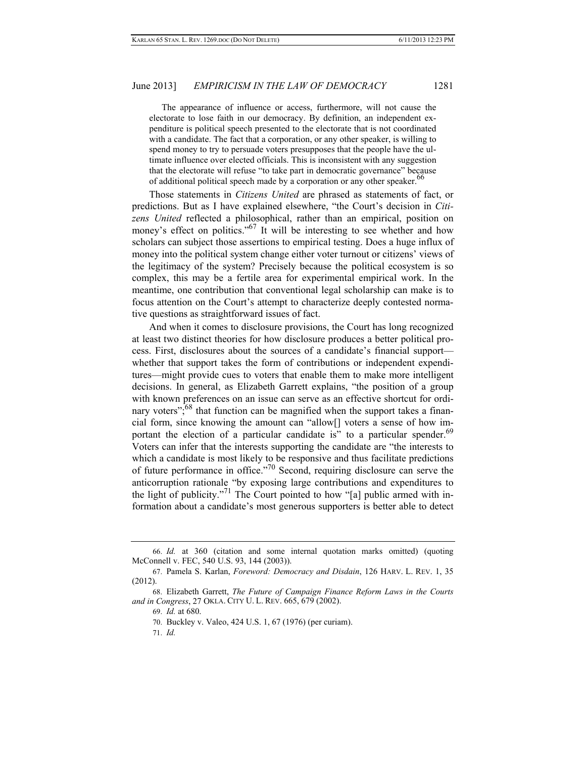The appearance of influence or access, furthermore, will not cause the electorate to lose faith in our democracy. By definition, an independent expenditure is political speech presented to the electorate that is not coordinated with a candidate. The fact that a corporation, or any other speaker, is willing to spend money to try to persuade voters presupposes that the people have the ultimate influence over elected officials. This is inconsistent with any suggestion that the electorate will refuse "to take part in democratic governance" because of additional political speech made by a corporation or any other speaker.<sup>66</sup>

Those statements in *Citizens United* are phrased as statements of fact, or predictions. But as I have explained elsewhere, "the Court's decision in *Citizens United* reflected a philosophical, rather than an empirical, position on money's effect on politics."<sup>67</sup> It will be interesting to see whether and how scholars can subject those assertions to empirical testing. Does a huge influx of money into the political system change either voter turnout or citizens' views of the legitimacy of the system? Precisely because the political ecosystem is so complex, this may be a fertile area for experimental empirical work. In the meantime, one contribution that conventional legal scholarship can make is to focus attention on the Court's attempt to characterize deeply contested normative questions as straightforward issues of fact.

And when it comes to disclosure provisions, the Court has long recognized at least two distinct theories for how disclosure produces a better political process. First, disclosures about the sources of a candidate's financial support whether that support takes the form of contributions or independent expenditures—might provide cues to voters that enable them to make more intelligent decisions. In general, as Elizabeth Garrett explains, "the position of a group with known preferences on an issue can serve as an effective shortcut for ordinary voters"; $68$  that function can be magnified when the support takes a financial form, since knowing the amount can "allow[] voters a sense of how important the election of a particular candidate is" to a particular spender.<sup>69</sup> Voters can infer that the interests supporting the candidate are "the interests to which a candidate is most likely to be responsive and thus facilitate predictions of future performance in office.<sup> $70$ </sup> Second, requiring disclosure can serve the anticorruption rationale "by exposing large contributions and expenditures to the light of publicity."<sup>71</sup> The Court pointed to how "[a] public armed with information about a candidate's most generous supporters is better able to detect

 <sup>66.</sup> *Id.* at 360 (citation and some internal quotation marks omitted) (quoting McConnell v. FEC, 540 U.S. 93, 144 (2003)).

 <sup>67.</sup> Pamela S. Karlan, *Foreword: Democracy and Disdain*, 126 HARV. L. REV. 1, 35 (2012).

 <sup>68.</sup> Elizabeth Garrett, *The Future of Campaign Finance Reform Laws in the Courts and in Congress*, 27 OKLA. CITY U. L. REV. 665, 679 (2002).

 <sup>69.</sup> *Id.* at 680.

 <sup>70.</sup> Buckley v. Valeo, 424 U.S. 1, 67 (1976) (per curiam).

 <sup>71.</sup> *Id.*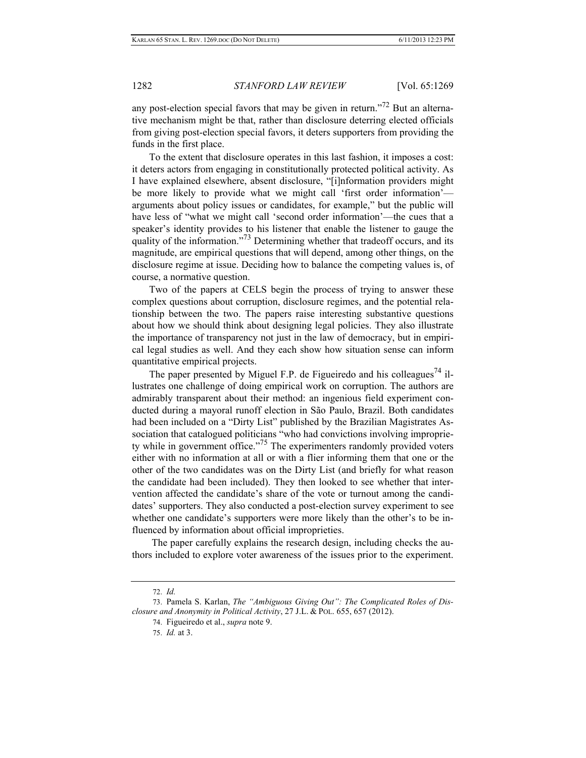any post-election special favors that may be given in return."<sup>72</sup> But an alternative mechanism might be that, rather than disclosure deterring elected officials from giving post-election special favors, it deters supporters from providing the funds in the first place.

To the extent that disclosure operates in this last fashion, it imposes a cost: it deters actors from engaging in constitutionally protected political activity. As I have explained elsewhere, absent disclosure, "[i]nformation providers might be more likely to provide what we might call 'first order information' arguments about policy issues or candidates, for example," but the public will have less of "what we might call 'second order information'—the cues that a speaker's identity provides to his listener that enable the listener to gauge the quality of the information."<sup>73</sup> Determining whether that tradeoff occurs, and its magnitude, are empirical questions that will depend, among other things, on the disclosure regime at issue. Deciding how to balance the competing values is, of course, a normative question.

Two of the papers at CELS begin the process of trying to answer these complex questions about corruption, disclosure regimes, and the potential relationship between the two. The papers raise interesting substantive questions about how we should think about designing legal policies. They also illustrate the importance of transparency not just in the law of democracy, but in empirical legal studies as well. And they each show how situation sense can inform quantitative empirical projects.

The paper presented by Miguel F.P. de Figueiredo and his colleagues<sup>74</sup> illustrates one challenge of doing empirical work on corruption. The authors are admirably transparent about their method: an ingenious field experiment conducted during a mayoral runoff election in São Paulo, Brazil. Both candidates had been included on a "Dirty List" published by the Brazilian Magistrates Association that catalogued politicians "who had convictions involving impropriety while in government office."75 The experimenters randomly provided voters either with no information at all or with a flier informing them that one or the other of the two candidates was on the Dirty List (and briefly for what reason the candidate had been included). They then looked to see whether that intervention affected the candidate's share of the vote or turnout among the candidates' supporters. They also conducted a post-election survey experiment to see whether one candidate's supporters were more likely than the other's to be influenced by information about official improprieties.

 The paper carefully explains the research design, including checks the authors included to explore voter awareness of the issues prior to the experiment.

 <sup>72.</sup> *Id.*

 <sup>73.</sup> Pamela S. Karlan, *The "Ambiguous Giving Out": The Complicated Roles of Disclosure and Anonymity in Political Activity*, 27 J.L. & POL. 655, 657 (2012).

 <sup>74.</sup> Figueiredo et al., *supra* note 9.

 <sup>75.</sup> *Id.* at 3.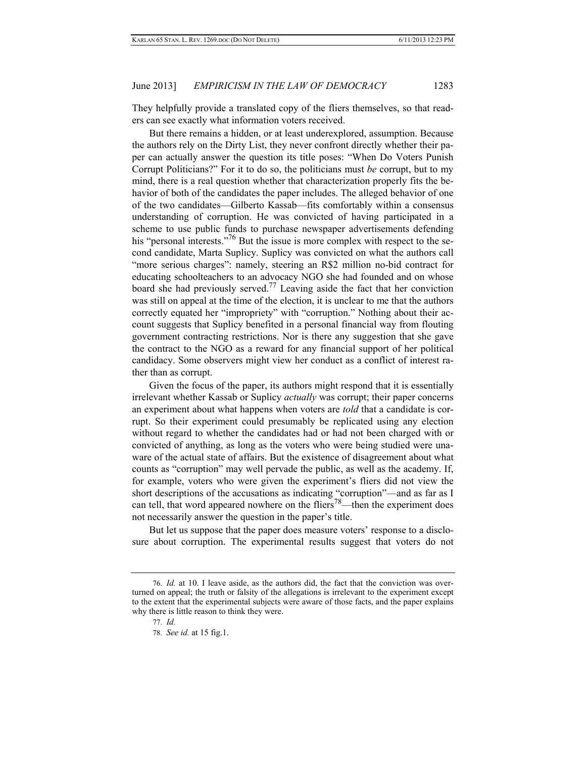They helpfully provide a translated copy of the fliers themselves, so that readers can see exactly what information voters received.

But there remains a hidden, or at least underexplored, assumption. Because the authors rely on the Dirty List, they never confront directly whether their paper can actually answer the question its title poses: "When Do Voters Punish Corrupt Politicians?" For it to do so, the politicians must *be* corrupt, but to my mind, there is a real question whether that characterization properly fits the behavior of both of the candidates the paper includes. The alleged behavior of one of the two candidates—Gilberto Kassab—fits comfortably within a consensus understanding of corruption. He was convicted of having participated in a scheme to use public funds to purchase newspaper advertisements defending his "personal interests."<sup>76</sup> But the issue is more complex with respect to the second candidate, Marta Suplicy. Suplicy was convicted on what the authors call "more serious charges": namely, steering an R\$2 million no-bid contract for educating schoolteachers to an advocacy NGO she had founded and on whose board she had previously served.77 Leaving aside the fact that her conviction was still on appeal at the time of the election, it is unclear to me that the authors correctly equated her "impropriety" with "corruption." Nothing about their account suggests that Suplicy benefited in a personal financial way from flouting government contracting restrictions. Nor is there any suggestion that she gave the contract to the NGO as a reward for any financial support of her political candidacy. Some observers might view her conduct as a conflict of interest rather than as corrupt.

Given the focus of the paper, its authors might respond that it is essentially irrelevant whether Kassab or Suplicy *actually* was corrupt; their paper concerns an experiment about what happens when voters are *told* that a candidate is corrupt. So their experiment could presumably be replicated using any election without regard to whether the candidates had or had not been charged with or convicted of anything, as long as the voters who were being studied were unaware of the actual state of affairs. But the existence of disagreement about what counts as "corruption" may well pervade the public, as well as the academy. If, for example, voters who were given the experiment's fliers did not view the short descriptions of the accusations as indicating "corruption"—and as far as I can tell, that word appeared nowhere on the fliers<sup>78</sup>—then the experiment does not necessarily answer the question in the paper's title.

But let us suppose that the paper does measure voters' response to a disclosure about corruption. The experimental results suggest that voters do not

 <sup>76.</sup> *Id.* at 10. I leave aside, as the authors did, the fact that the conviction was overturned on appeal; the truth or falsity of the allegations is irrelevant to the experiment except to the extent that the experimental subjects were aware of those facts, and the paper explains why there is little reason to think they were.

 <sup>77.</sup> *Id.*

 <sup>78.</sup> *See id.* at 15 fig.1.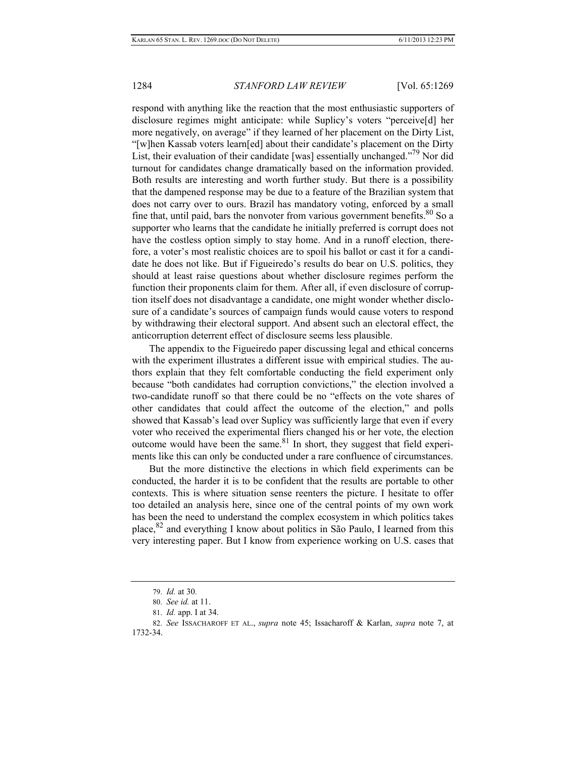respond with anything like the reaction that the most enthusiastic supporters of disclosure regimes might anticipate: while Suplicy's voters "perceive[d] her more negatively, on average" if they learned of her placement on the Dirty List, "[w]hen Kassab voters learn[ed] about their candidate's placement on the Dirty List, their evaluation of their candidate [was] essentially unchanged."<sup>79</sup> Nor did turnout for candidates change dramatically based on the information provided. Both results are interesting and worth further study. But there is a possibility that the dampened response may be due to a feature of the Brazilian system that does not carry over to ours. Brazil has mandatory voting, enforced by a small fine that, until paid, bars the nonvoter from various government benefits. $80$  So a supporter who learns that the candidate he initially preferred is corrupt does not have the costless option simply to stay home. And in a runoff election, therefore, a voter's most realistic choices are to spoil his ballot or cast it for a candidate he does not like. But if Figueiredo's results do bear on U.S. politics, they should at least raise questions about whether disclosure regimes perform the function their proponents claim for them. After all, if even disclosure of corruption itself does not disadvantage a candidate, one might wonder whether disclosure of a candidate's sources of campaign funds would cause voters to respond by withdrawing their electoral support. And absent such an electoral effect, the anticorruption deterrent effect of disclosure seems less plausible.

The appendix to the Figueiredo paper discussing legal and ethical concerns with the experiment illustrates a different issue with empirical studies. The authors explain that they felt comfortable conducting the field experiment only because "both candidates had corruption convictions," the election involved a two-candidate runoff so that there could be no "effects on the vote shares of other candidates that could affect the outcome of the election," and polls showed that Kassab's lead over Suplicy was sufficiently large that even if every voter who received the experimental fliers changed his or her vote, the election outcome would have been the same.81 In short, they suggest that field experiments like this can only be conducted under a rare confluence of circumstances.

But the more distinctive the elections in which field experiments can be conducted, the harder it is to be confident that the results are portable to other contexts. This is where situation sense reenters the picture. I hesitate to offer too detailed an analysis here, since one of the central points of my own work has been the need to understand the complex ecosystem in which politics takes place,82 and everything I know about politics in São Paulo, I learned from this very interesting paper. But I know from experience working on U.S. cases that

 <sup>79.</sup> *Id.* at 30.

 <sup>80.</sup> *See id.* at 11.

 <sup>81.</sup> *Id.* app. I at 34.

 <sup>82.</sup> *See* ISSACHAROFF ET AL., *supra* note 45; Issacharoff & Karlan, *supra* note 7, at 1732-34.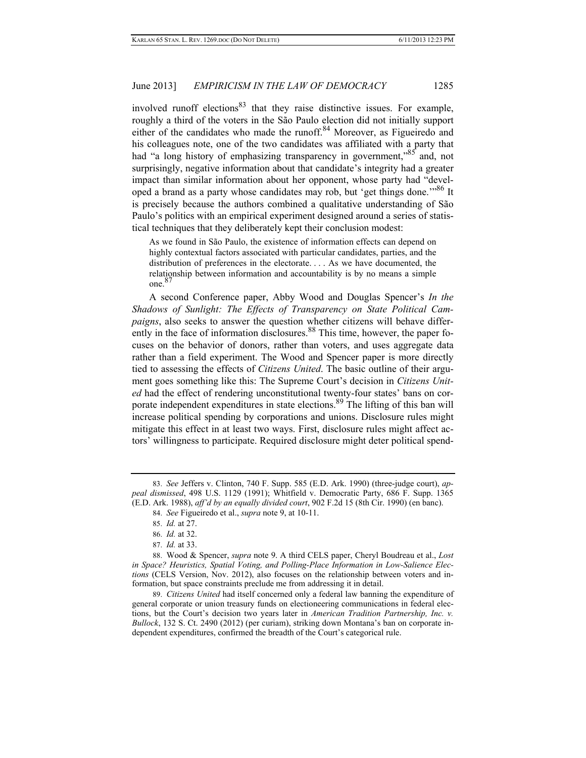involved runoff elections $83$  that they raise distinctive issues. For example, roughly a third of the voters in the São Paulo election did not initially support either of the candidates who made the runoff.<sup>84</sup> Moreover, as Figueiredo and his colleagues note, one of the two candidates was affiliated with a party that had "a long history of emphasizing transparency in government,"<sup>85</sup> and, not surprisingly, negative information about that candidate's integrity had a greater impact than similar information about her opponent, whose party had "developed a brand as a party whose candidates may rob, but 'get things done.<sup>"86</sup> It is precisely because the authors combined a qualitative understanding of São Paulo's politics with an empirical experiment designed around a series of statistical techniques that they deliberately kept their conclusion modest:

As we found in São Paulo, the existence of information effects can depend on highly contextual factors associated with particular candidates, parties, and the distribution of preferences in the electorate. . . . As we have documented, the relationship between information and accountability is by no means a simple one.<sup>87</sup>

A second Conference paper, Abby Wood and Douglas Spencer's *In the Shadows of Sunlight: The Effects of Transparency on State Political Campaigns*, also seeks to answer the question whether citizens will behave differently in the face of information disclosures.<sup>88</sup> This time, however, the paper focuses on the behavior of donors, rather than voters, and uses aggregate data rather than a field experiment. The Wood and Spencer paper is more directly tied to assessing the effects of *Citizens United*. The basic outline of their argument goes something like this: The Supreme Court's decision in *Citizens United* had the effect of rendering unconstitutional twenty-four states' bans on corporate independent expenditures in state elections.<sup>89</sup> The lifting of this ban will increase political spending by corporations and unions. Disclosure rules might mitigate this effect in at least two ways. First, disclosure rules might affect actors' willingness to participate. Required disclosure might deter political spend-

 <sup>83.</sup> *See* Jeffers v. Clinton, 740 F. Supp. 585 (E.D. Ark. 1990) (three-judge court), *appeal dismissed*, 498 U.S. 1129 (1991); Whitfield v. Democratic Party, 686 F. Supp. 1365 (E.D. Ark. 1988), *aff'd by an equally divided court*, 902 F.2d 15 (8th Cir. 1990) (en banc).

 <sup>84.</sup> *See* Figueiredo et al., *supra* note 9, at 10-11.

 <sup>85.</sup> *Id.* at 27.

 <sup>86.</sup> *Id.* at 32.

 <sup>87.</sup> *Id.* at 33.

 <sup>88.</sup> Wood & Spencer, *supra* note 9. A third CELS paper, Cheryl Boudreau et al., *Lost in Space? Heuristics, Spatial Voting, and Polling-Place Information in Low-Salience Elections* (CELS Version, Nov. 2012), also focuses on the relationship between voters and information, but space constraints preclude me from addressing it in detail.

 <sup>89.</sup> *Citizens United* had itself concerned only a federal law banning the expenditure of general corporate or union treasury funds on electioneering communications in federal elections, but the Court's decision two years later in *American Tradition Partnership, Inc. v. Bullock*, 132 S. Ct. 2490 (2012) (per curiam), striking down Montana's ban on corporate independent expenditures, confirmed the breadth of the Court's categorical rule.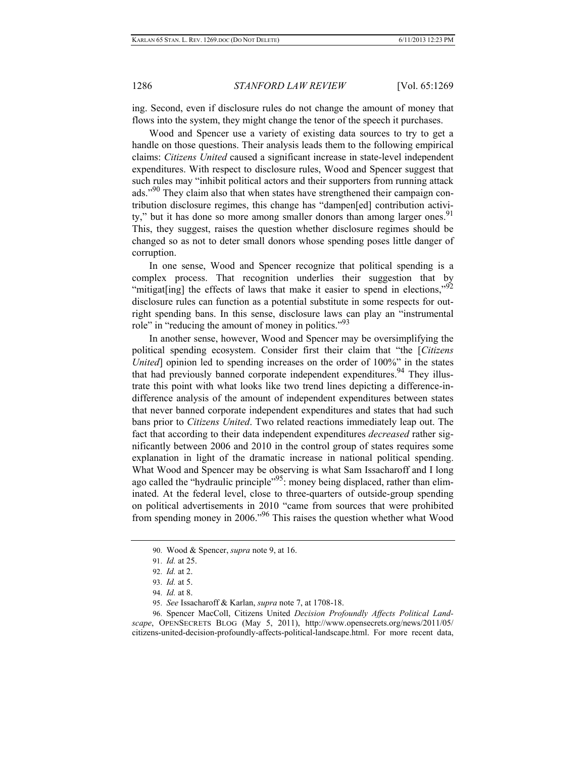ing. Second, even if disclosure rules do not change the amount of money that flows into the system, they might change the tenor of the speech it purchases.

Wood and Spencer use a variety of existing data sources to try to get a handle on those questions. Their analysis leads them to the following empirical claims: *Citizens United* caused a significant increase in state-level independent expenditures. With respect to disclosure rules, Wood and Spencer suggest that such rules may "inhibit political actors and their supporters from running attack ads."<sup>90</sup> They claim also that when states have strengthened their campaign contribution disclosure regimes, this change has "dampen[ed] contribution activity," but it has done so more among smaller donors than among larger ones.<sup>91</sup> This, they suggest, raises the question whether disclosure regimes should be changed so as not to deter small donors whose spending poses little danger of corruption.

In one sense, Wood and Spencer recognize that political spending is a complex process. That recognition underlies their suggestion that by "mitigat[ing] the effects of laws that make it easier to spend in elections," $92$ disclosure rules can function as a potential substitute in some respects for outright spending bans. In this sense, disclosure laws can play an "instrumental role" in "reducing the amount of money in politics."<sup>93</sup>

In another sense, however, Wood and Spencer may be oversimplifying the political spending ecosystem. Consider first their claim that "the [*Citizens United* opinion led to spending increases on the order of 100%" in the states that had previously banned corporate independent expenditures.<sup>94</sup> They illustrate this point with what looks like two trend lines depicting a difference-indifference analysis of the amount of independent expenditures between states that never banned corporate independent expenditures and states that had such bans prior to *Citizens United*. Two related reactions immediately leap out. The fact that according to their data independent expenditures *decreased* rather significantly between 2006 and 2010 in the control group of states requires some explanation in light of the dramatic increase in national political spending. What Wood and Spencer may be observing is what Sam Issacharoff and I long ago called the "hydraulic principle"<sup>95</sup>: money being displaced, rather than eliminated. At the federal level, close to three-quarters of outside-group spending on political advertisements in 2010 "came from sources that were prohibited from spending money in 2006."96 This raises the question whether what Wood

 <sup>90.</sup> Wood & Spencer, *supra* note 9, at 16.

 <sup>91.</sup> *Id.* at 25.

 <sup>92.</sup> *Id.* at 2.

 <sup>93.</sup> *Id.* at 5.

 <sup>94.</sup> *Id.* at 8.

 <sup>95.</sup> *See* Issacharoff & Karlan, *supra* note 7, at 1708-18.

 <sup>96.</sup> Spencer MacColl, Citizens United *Decision Profoundly Affects Political Landscape*, OPENSECRETS BLOG (May 5, 2011), http://www.opensecrets.org/news/2011/05/ citizens-united-decision-profoundly-affects-political-landscape.html. For more recent data,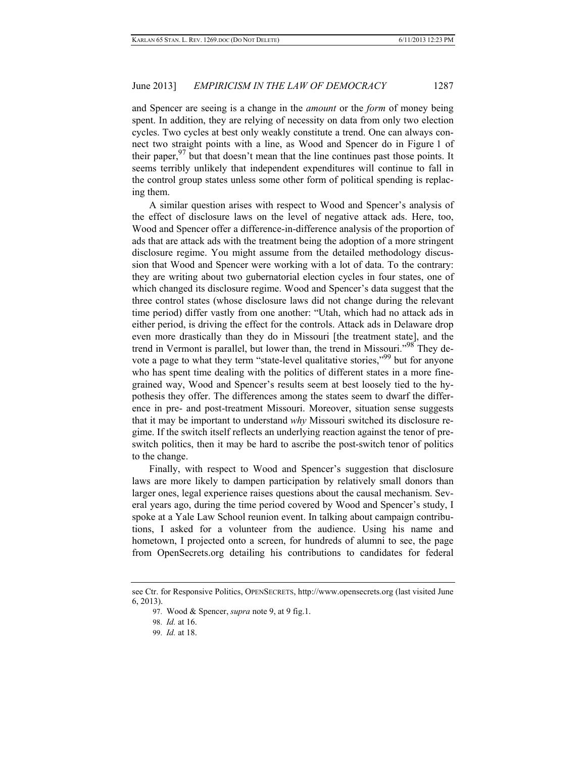and Spencer are seeing is a change in the *amount* or the *form* of money being spent. In addition, they are relying of necessity on data from only two election cycles. Two cycles at best only weakly constitute a trend. One can always connect two straight points with a line, as Wood and Spencer do in Figure 1 of their paper,  $97$  but that doesn't mean that the line continues past those points. It seems terribly unlikely that independent expenditures will continue to fall in the control group states unless some other form of political spending is replacing them.

A similar question arises with respect to Wood and Spencer's analysis of the effect of disclosure laws on the level of negative attack ads. Here, too, Wood and Spencer offer a difference-in-difference analysis of the proportion of ads that are attack ads with the treatment being the adoption of a more stringent disclosure regime. You might assume from the detailed methodology discussion that Wood and Spencer were working with a lot of data. To the contrary: they are writing about two gubernatorial election cycles in four states, one of which changed its disclosure regime. Wood and Spencer's data suggest that the three control states (whose disclosure laws did not change during the relevant time period) differ vastly from one another: "Utah, which had no attack ads in either period, is driving the effect for the controls. Attack ads in Delaware drop even more drastically than they do in Missouri [the treatment state], and the trend in Vermont is parallel, but lower than, the trend in Missouri."<sup>98</sup> They devote a page to what they term "state-level qualitative stories,"<sup>99</sup> but for anyone who has spent time dealing with the politics of different states in a more finegrained way, Wood and Spencer's results seem at best loosely tied to the hypothesis they offer. The differences among the states seem to dwarf the difference in pre- and post-treatment Missouri. Moreover, situation sense suggests that it may be important to understand *why* Missouri switched its disclosure regime. If the switch itself reflects an underlying reaction against the tenor of preswitch politics, then it may be hard to ascribe the post-switch tenor of politics to the change.

Finally, with respect to Wood and Spencer's suggestion that disclosure laws are more likely to dampen participation by relatively small donors than larger ones, legal experience raises questions about the causal mechanism. Several years ago, during the time period covered by Wood and Spencer's study, I spoke at a Yale Law School reunion event. In talking about campaign contributions, I asked for a volunteer from the audience. Using his name and hometown, I projected onto a screen, for hundreds of alumni to see, the page from OpenSecrets.org detailing his contributions to candidates for federal

see Ctr. for Responsive Politics, OPENSECRETS, http://www.opensecrets.org (last visited June 6, 2013).

 <sup>97.</sup> Wood & Spencer, *supra* note 9, at 9 fig.1.

 <sup>98.</sup> *Id.* at 16.

 <sup>99.</sup> *Id.* at 18.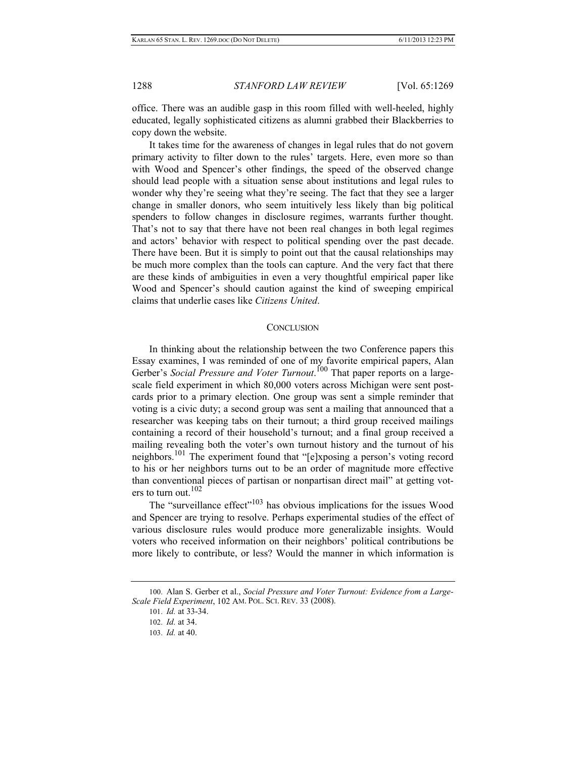office. There was an audible gasp in this room filled with well-heeled, highly educated, legally sophisticated citizens as alumni grabbed their Blackberries to copy down the website.

It takes time for the awareness of changes in legal rules that do not govern primary activity to filter down to the rules' targets. Here, even more so than with Wood and Spencer's other findings, the speed of the observed change should lead people with a situation sense about institutions and legal rules to wonder why they're seeing what they're seeing. The fact that they see a larger change in smaller donors, who seem intuitively less likely than big political spenders to follow changes in disclosure regimes, warrants further thought. That's not to say that there have not been real changes in both legal regimes and actors' behavior with respect to political spending over the past decade. There have been. But it is simply to point out that the causal relationships may be much more complex than the tools can capture. And the very fact that there are these kinds of ambiguities in even a very thoughtful empirical paper like Wood and Spencer's should caution against the kind of sweeping empirical claims that underlie cases like *Citizens United*.

#### **CONCLUSION**

In thinking about the relationship between the two Conference papers this Essay examines, I was reminded of one of my favorite empirical papers, Alan Gerber's Social Pressure and Voter Turnout.<sup>100</sup> That paper reports on a largescale field experiment in which 80,000 voters across Michigan were sent postcards prior to a primary election. One group was sent a simple reminder that voting is a civic duty; a second group was sent a mailing that announced that a researcher was keeping tabs on their turnout; a third group received mailings containing a record of their household's turnout; and a final group received a mailing revealing both the voter's own turnout history and the turnout of his neighbors.101 The experiment found that "[e]xposing a person's voting record to his or her neighbors turns out to be an order of magnitude more effective than conventional pieces of partisan or nonpartisan direct mail" at getting voters to turn out. $102$ 

The "surveillance effect"<sup>103</sup> has obvious implications for the issues Wood and Spencer are trying to resolve. Perhaps experimental studies of the effect of various disclosure rules would produce more generalizable insights. Would voters who received information on their neighbors' political contributions be more likely to contribute, or less? Would the manner in which information is

<sup>100.</sup> Alan S. Gerber et al., *Social Pressure and Voter Turnout: Evidence from a Large-Scale Field Experiment*, 102 AM. POL. SCI. REV. 33 (2008).

<sup>101.</sup> *Id.* at 33-34.

<sup>102.</sup> *Id.* at 34.

<sup>103.</sup> *Id.* at 40.